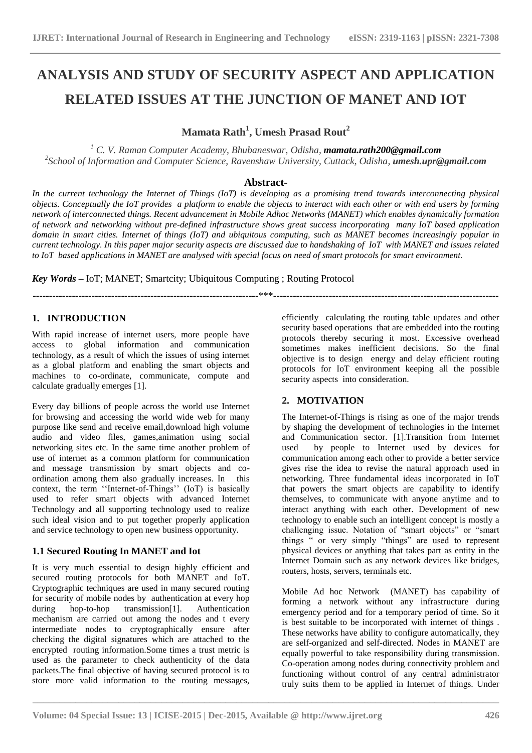# **ANALYSIS AND STUDY OF SECURITY ASPECT AND APPLICATION RELATED ISSUES AT THE JUNCTION OF MANET AND IOT**

**Mamata Rath<sup>1</sup> , Umesh Prasad Rout<sup>2</sup>**

<sup>1</sup> C. V. Raman Computer Academy, Bhubaneswar, Odisha, **[mamata.rath200@gmail.com](mailto:mamata.rath200@gmail.com)** <sup>2</sup>School of Information and Computer Science, Ravenshaw University, Cuttack, Odisha, **umesh.upr@gmail.com** 

### **Abstract-**

*In the current technology the Internet of Things (IoT) is developing as a promising trend towards interconnecting physical objects. Conceptually the IoT provides a platform to enable the objects to interact with each other or with end users by forming network of interconnected things. Recent advancement in Mobile Adhoc Networks (MANET) which enables dynamically formation of network and networking without pre-defined infrastructure shows great success incorporating many IoT based application domain in smart cities. Internet of things (IoT) and ubiquitous computing, such as MANET becomes increasingly popular in current technology. In this paper major security aspects are discussed due to handshaking of IoT with MANET and issues related to IoT based applications in MANET are analysed with special focus on need of smart protocols for smart environment.*

---------------------------------------------------------------------\*\*\*---------------------------------------------------------------------

*Key Words –* IoT; MANET; Smartcity; Ubiquitous Computing ; Routing Protocol

**1. INTRODUCTION**

With rapid increase of internet users, more people have access to global information and communication technology, as a result of which the issues of using internet as a global platform and enabling the smart objects and machines to co-ordinate, communicate, compute and calculate gradually emerges [1].

Every day billions of people across the world use Internet for browsing and accessing the world wide web for many purpose like send and receive email,download high volume audio and video files, games,animation using social networking sites etc. In the same time another problem of use of internet as a common platform for communication and message transmission by smart objects and coordination among them also gradually increases. In this context, the term "Internet-of-Things" (IoT) is basically used to refer smart objects with advanced Internet Technology and all supporting technology used to realize such ideal vision and to put together properly application and service technology to open new business opportunity.

# **1.1 Secured Routing In MANET and Iot**

It is very much essential to design highly efficient and secured routing protocols for both MANET and IoT. Cryptographic techniques are used in many secured routing for security of mobile nodes by authentication at every hop<br>during hop-to-hop transmission[1]. Authentication during hop-to-hop transmission[1]. mechanism are carried out among the nodes and t every intermediate nodes to cryptographically ensure after checking the digital signatures which are attached to the encrypted routing information.Some times a trust metric is used as the parameter to check authenticity of the data packets.The final objective of having secured protocol is to store more valid information to the routing messages, efficiently calculating the routing table updates and other security based operations that are embedded into the routing protocols thereby securing it most. Excessive overhead sometimes makes inefficient decisions. So the final objective is to design energy and delay efficient routing protocols for IoT environment keeping all the possible security aspects into consideration.

# **2. MOTIVATION**

The Internet-of-Things is rising as one of the major trends by shaping the development of technologies in the Internet and Communication sector. [1].Transition from Internet used by people to Internet used by devices for communication among each other to provide a better service gives rise the idea to revise the natural approach used in networking. Three fundamental ideas incorporated in IoT that powers the smart objects are capability to identify themselves, to communicate with anyone anytime and to interact anything with each other. Development of new technology to enable such an intelligent concept is mostly a challenging issue. Notation of "smart objects" or "smart things " or very simply "things" are used to represent physical devices or anything that takes part as entity in the Internet Domain such as any network devices like bridges, routers, hosts, servers, terminals etc.

Mobile Ad hoc Network (MANET) has capability of forming a network without any infrastructure during emergency period and for a temporary period of time. So it is best suitable to be incorporated with internet of things . These networks have ability to configure automatically, they are self-organized and self-directed. Nodes in MANET are equally powerful to take responsibility during transmission. Co-operation among nodes during connectivity problem and functioning without control of any central administrator truly suits them to be applied in Internet of things. Under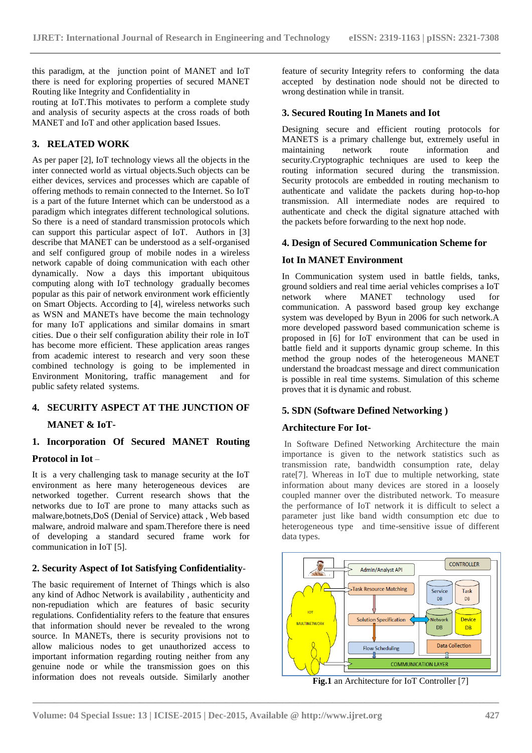this paradigm, at the junction point of MANET and IoT there is need for exploring properties of secured MANET Routing like Integrity and Confidentiality in

routing at IoT.This motivates to perform a complete study and analysis of security aspects at the cross roads of both MANET and IoT and other application based Issues.

# **3. RELATED WORK**

As per paper [2], IoT technology views all the objects in the inter connected world as virtual objects.Such objects can be either devices, services and processes which are capable of offering methods to remain connected to the Internet. So IoT is a part of the future Internet which can be understood as a paradigm which integrates different technological solutions. So there is a need of standard transmission protocols which can support this particular aspect of IoT. Authors in [3] describe that MANET can be understood as a self-organised and self configured group of mobile nodes in a wireless network capable of doing communication with each other dynamically. Now a days this important ubiquitous computing along with IoT technology gradually becomes popular as this pair of network environment work efficiently on Smart Objects. According to [4], wireless networks such as WSN and MANETs have become the main technology for many IoT applications and similar domains in smart cities. Due o their self configuration ability their role in IoT has become more efficient. These application areas ranges from academic interest to research and very soon these combined technology is going to be implemented in Environment Monitoring, traffic management and for public safety related systems.

# **4. SECURITY ASPECT AT THE JUNCTION OF MANET & IoT-**

# **1. Incorporation Of Secured MANET Routing**

# **Protocol in Iot** –

It is a very challenging task to manage security at the IoT environment as here many heterogeneous devices are networked together. Current research shows that the networks due to IoT are prone to many attacks such as malware,botnets,DoS (Denial of Service) attack , Web based malware, android malware and spam.Therefore there is need of developing a standard secured frame work for communication in IoT [5].

# **2. Security Aspect of Iot Satisfying Confidentiality**-

The basic requirement of Internet of Things which is also any kind of Adhoc Network is availability , authenticity and non-repudiation which are features of basic security regulations. Confidentiality refers to the feature that ensures that information should never be revealed to the wrong source. In MANETs, there is security provisions not to allow malicious nodes to get unauthorized access to important information regarding routing neither from any genuine node or while the transmission goes on this information does not reveals outside. Similarly another

feature of security Integrity refers to conforming the data accepted by destination node should not be directed to wrong destination while in transit.

### **3. Secured Routing In Manets and Iot**

Designing secure and efficient routing protocols for MANETS is a primary challenge but, extremely useful in maintaining network route information and security.Cryptographic techniques are used to keep the routing information secured during the transmission. Security protocols are embedded in routing mechanism to authenticate and validate the packets during hop-to-hop transmission. All intermediate nodes are required to authenticate and check the digital signature attached with the packets before forwarding to the next hop node.

### **4. Design of Secured Communication Scheme for**

# **Iot In MANET Environment**

In Communication system used in battle fields, tanks, ground soldiers and real time aerial vehicles comprises a IoT network where MANET technology used for communication. A password based group key exchange system was developed by Byun in 2006 for such network.A more developed password based communication scheme is proposed in [6] for IoT environment that can be used in battle field and it supports dynamic group scheme. In this method the group nodes of the heterogeneous MANET understand the broadcast message and direct communication is possible in real time systems. Simulation of this scheme proves that it is dynamic and robust.

# **5. SDN (Software Defined Networking )**

# **Architecture For Iot-**

In Software Defined Networking Architecture the main importance is given to the network statistics such as transmission rate, bandwidth consumption rate, delay rate[7]. Whereas in IoT due to multiple networking, state information about many devices are stored in a loosely coupled manner over the distributed network. To measure the performance of IoT network it is difficult to select a parameter just like band width consumption etc due to heterogeneous type and time-sensitive issue of different data types.



**Fig.1** an Architecture for IoT Controller [7]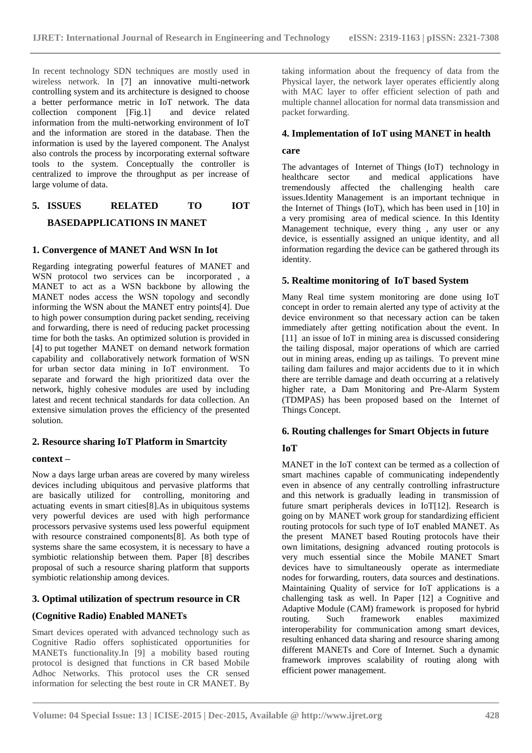In recent technology SDN techniques are mostly used in wireless network. In [7] an innovative multi-network controlling system and its architecture is designed to choose a better performance metric in IoT network. The data  $\text{collection}$  component [Fig.1] information from the multi-networking environment of IoT and the information are stored in the database. Then the information is used by the layered component. The Analyst also controls the process by incorporating external software tools to the system. Conceptually the controller is centralized to improve the throughput as per increase of large volume of data.

# **5. ISSUES RELATED TO IOT BASEDAPPLICATIONS IN MANET**

### **1. Convergence of MANET And WSN In Iot**

Regarding integrating powerful features of MANET and WSN protocol two services can be incorporated , a MANET to act as a WSN backbone by allowing the MANET nodes access the WSN topology and secondly informing the WSN about the MANET entry points[4]. Due to high power consumption during packet sending, receiving and forwarding, there is need of reducing packet processing time for both the tasks. An optimized solution is provided in [4] to put together MANET on demand network formation capability and collaboratively network formation of WSN for urban sector data mining in IoT environment. To separate and forward the high prioritized data over the network, highly cohesive modules are used by including latest and recent technical standards for data collection. An extensive simulation proves the efficiency of the presented solution.

# **2. Resource sharing IoT Platform in Smartcity**

#### **context –**

Now a days large urban areas are covered by many wireless devices including ubiquitous and pervasive platforms that are basically utilized for controlling, monitoring and actuating events in smart cities[8].As in ubiquitous systems very powerful devices are used with high performance processors pervasive systems used less powerful equipment with resource constrained components[8]. As both type of systems share the same ecosystem, it is necessary to have a symbiotic relationship between them. Paper [8] describes proposal of such a resource sharing platform that supports symbiotic relationship among devices.

# **3. Optimal utilization of spectrum resource in CR**

# **(Cognitive Radio) Enabled MANETs**

Smart devices operated with advanced technology such as Cognitive Radio offers sophisticated opportunities for MANETs functionality.In [9] a mobility based routing protocol is designed that functions in CR based Mobile Adhoc Networks. This protocol uses the CR sensed information for selecting the best route in CR MANET. By taking information about the frequency of data from the Physical layer, the network layer operates efficiently along with MAC layer to offer efficient selection of path and multiple channel allocation for normal data transmission and packet forwarding.

### **4. Implementation of IoT using MANET in health**

### **care**

The advantages of Internet of Things (IoT) technology in healthcare sector and medical applications have tremendously affected the challenging health care issues.Identity Management is an important technique in the Internet of Things (IoT), which has been used in [10] in a very promising area of medical science. In this Identity Management technique, every thing , any user or any device, is essentially assigned an unique identity, and all information regarding the device can be gathered through its identity.

### **5. Realtime monitoring of IoT based System**

Many Real time system monitoring are done using IoT concept in order to remain alerted any type of activity at the device environment so that necessary action can be taken immediately after getting notification about the event. In [11] an issue of IoT in mining area is discussed considering the tailing disposal, major operations of which are carried out in mining areas, ending up as tailings. To prevent mine tailing dam failures and major accidents due to it in which there are terrible damage and death occurring at a relatively higher rate, a Dam Monitoring and Pre-Alarm System (TDMPAS) has been proposed based on the Internet of Things Concept.

### **6. Routing challenges for Smart Objects in future**

# **IoT**

MANET in the IoT context can be termed as a collection of smart machines capable of communicating independently even in absence of any centrally controlling infrastructure and this network is gradually leading in transmission of future smart peripherals devices in IoT[12]. Research is going on by MANET work group for standardizing efficient routing protocols for such type of IoT enabled MANET. As the present MANET based Routing protocols have their own limitations, designing advanced routing protocols is very much essential since the Mobile MANET Smart devices have to simultaneously operate as intermediate nodes for forwarding, routers, data sources and destinations. Maintaining Quality of service for IoT applications is a challenging task as well. In Paper [12] a Cognitive and Adaptive Module (CAM) framework is proposed for hybrid<br>routing. Such framework enables maximized Such framework enables maximized interoperability for communication among smart devices, resulting enhanced data sharing and resource sharing among different MANETs and Core of Internet. Such a dynamic framework improves scalability of routing along with efficient power management.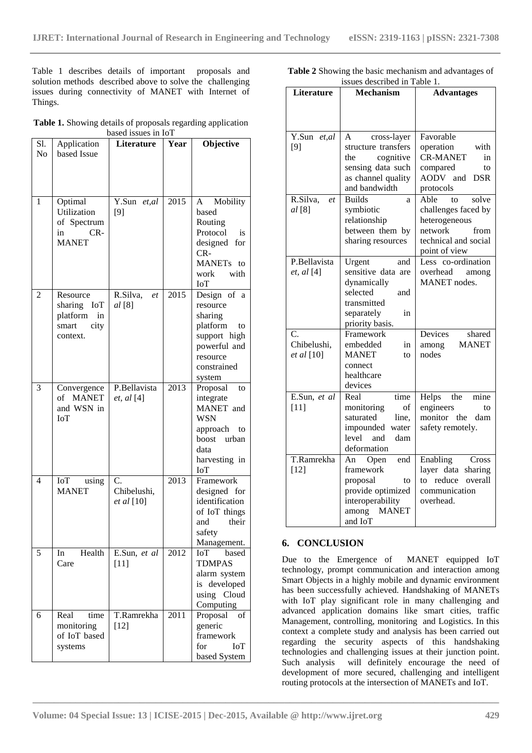Table 1 describes details of important proposals and solution methods described above to solve the challenging issues during connectivity of MANET with Internet of Things.

**Table 1.** Showing details of proposals regarding application based issues in IoT

|                |                    | Dased issues in IOT    |      |                       |
|----------------|--------------------|------------------------|------|-----------------------|
| S1.            | Application        | Literature             | Year | Objective             |
| N <sub>o</sub> | based Issue        |                        |      |                       |
|                |                    |                        |      |                       |
|                |                    |                        |      |                       |
|                |                    |                        |      |                       |
|                |                    |                        |      |                       |
| 1              | Optimal            | Y.Sun et, al           | 2015 | Mobility<br>A         |
|                | Utilization        | [9]                    |      | based                 |
|                | of Spectrum        |                        |      | Routing               |
|                | CR-<br>in          |                        |      | Protocol<br>is        |
|                | <b>MANET</b>       |                        |      | designed<br>for       |
|                |                    |                        |      | $CR-$                 |
|                |                    |                        |      | MANET <sub>s</sub> to |
|                |                    |                        |      | with<br>work          |
|                |                    |                        |      | IoT                   |
| 2              | Resource           | R.Silva,<br>et         | 2015 | Design of<br>a        |
|                | sharing IoT        | al [8]                 |      | resource              |
|                | platform<br>in     |                        |      | sharing               |
|                | smart<br>city      |                        |      | platform<br>to        |
|                | context.           |                        |      | support high          |
|                |                    |                        |      | powerful and          |
|                |                    |                        |      | resource              |
|                |                    |                        |      | constrained           |
|                |                    |                        |      | system                |
| 3              | Convergence        | P.Bellavista           | 2013 | Proposal<br>to        |
|                | of<br><b>MANET</b> | et, al [4]             |      | integrate             |
|                | and WSN in         |                        |      | MANET and             |
|                | IoT                |                        |      | <b>WSN</b>            |
|                |                    |                        |      | approach<br>to        |
|                |                    |                        |      | boost urban           |
|                |                    |                        |      | data                  |
|                |                    |                        |      | harvesting in         |
|                |                    |                        |      | ЮT                    |
| 4              | IoT<br>using       | C.                     | 2013 | Framework             |
|                | <b>MANET</b>       | Chibelushi,            |      | designed for          |
|                |                    | et al [10]             |      | identification        |
|                |                    |                        |      | of IoT things         |
|                |                    |                        |      | their<br>and          |
|                |                    |                        |      | safety                |
|                |                    |                        |      | Management.           |
| 5              | Health<br>In       |                        | 2012 | based<br>ЮГ           |
|                | Care               | E.Sun, et al<br>$[11]$ |      | <b>TDMPAS</b>         |
|                |                    |                        |      |                       |
|                |                    |                        |      | alarm system          |
|                |                    |                        |      | is developed          |
|                |                    |                        |      | using Cloud           |
|                |                    |                        |      | Computing             |
| 6              | Real<br>time       | T.Ramrekha             | 2011 | Proposal<br>of        |
|                | monitoring         | $[12]$                 |      | generic               |
|                | of IoT based       |                        |      | framework             |
|                | systems            |                        |      | for<br>ЮГ             |
|                |                    |                        |      | based System          |

| <b>Table 2</b> Showing the basic mechanism and advantages of |                              |  |
|--------------------------------------------------------------|------------------------------|--|
|                                                              | issues described in Table 1. |  |

| <b>Literature</b> | <b>Mechanism</b>      | <b>Advantages</b>     |
|-------------------|-----------------------|-----------------------|
|                   |                       |                       |
|                   |                       |                       |
| Y.Sun<br>et, al   | cross-layer<br>A      | Favorable             |
| [9]               | structure transfers   | operation<br>with     |
|                   | cognitive<br>the      | <b>CR-MANET</b><br>in |
|                   | sensing data such     | compared<br>to        |
|                   | as channel quality    | AODV and DSR          |
|                   | and bandwidth         | protocols             |
| R.Silva,<br>$e$ t | <b>Builds</b><br>a    | Able<br>solve<br>to   |
| al[8]             | symbiotic             | challenges faced by   |
|                   | relationship          | heterogeneous         |
|                   | between them by       | network<br>from       |
|                   | sharing resources     | technical and social  |
|                   |                       | point of view         |
| P.Bellavista      | Urgent<br>and         | Less co-ordination    |
| et, al [4]        | sensitive data are    | overhead<br>among     |
|                   | dynamically           | MANET nodes.          |
|                   | selected<br>and       |                       |
|                   | transmitted           |                       |
|                   | separately<br>in      |                       |
|                   | priority basis.       |                       |
| C.                | Framework             | Devices<br>shared     |
| Chibelushi,       | embedded<br>in        | <b>MANET</b><br>among |
| et al [10]        | <b>MANET</b><br>to    | nodes                 |
|                   | connect               |                       |
|                   | healthcare            |                       |
|                   | devices               |                       |
| E.Sun, et al      | time<br>Real          | Helps the<br>mine     |
| $[11]$            | monitoring<br>of      | engineers<br>tΩ       |
|                   | saturated<br>line,    | monitor<br>the<br>dam |
|                   | impounded<br>water    | safety remotely.      |
|                   | level and<br>dam      |                       |
|                   | deformation           |                       |
| T.Ramrekha        | An<br>Open<br>end     | Enabling<br>Cross     |
| $[12]$            | framework             | layer data<br>sharing |
|                   | proposal<br>to        | to reduce<br>overall  |
|                   | provide optimized     | communication         |
|                   | interoperability      | overhead.             |
|                   | <b>MANET</b><br>among |                       |
|                   | and IoT               |                       |

### **6. CONCLUSION**

Due to the Emergence of MANET equipped IoT technology, prompt communication and interaction among Smart Objects in a highly mobile and dynamic environment has been successfully achieved. Handshaking of MANETs with IoT play significant role in many challenging and advanced application domains like smart cities, traffic Management, controlling, monitoring and Logistics. In this context a complete study and analysis has been carried out regarding the security aspects of this handshaking technologies and challenging issues at their junction point. Such analysis will definitely encourage the need of development of more secured, challenging and intelligent routing protocols at the intersection of MANETs and IoT.